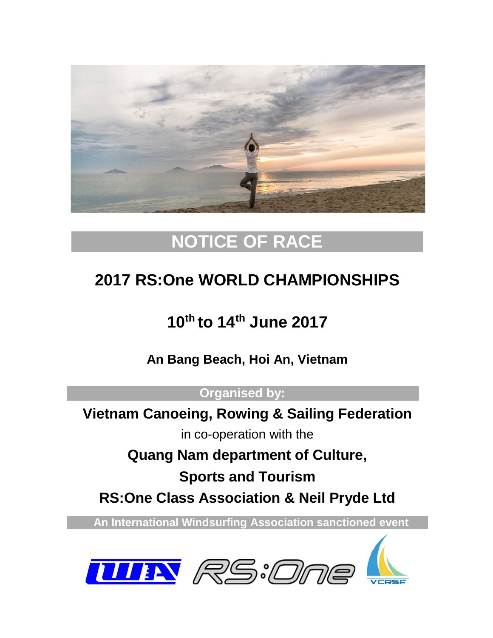

# **NOTICE OF RACE**

# **2017 RS:One WORLD CHAMPIONSHIPS**

# **10th to 14th June 2017**

**An Bang Beach, Hoi An, Vietnam**

**Organised by:**

**Vietnam Canoeing, Rowing & Sailing Federation**

in co-operation with the

**Quang Nam department of Culture,** 

**Sports and Tourism**

**RS:One Class Association & Neil Pryde Ltd**

 **An International Windsurfing Association sanctioned event** 



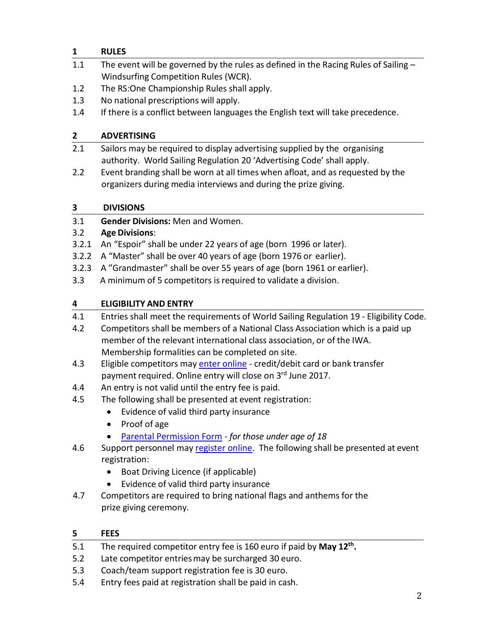# **1 RULES**

- 1.1 The event will be governed by the rules as defined in the Racing Rules of Sailing -Windsurfing Competition Rules (WCR).
- 1.2 The RS:One Championship Rules shall apply.
- 1.3 No national prescriptions will apply.
- 1.4 If there is a conflict between languages the English text will take precedence.

# **2 ADVERTISING**

- 2.1 Sailors may be required to display advertising supplied by the organising authority. World Sailing Regulation 20 'Advertising Code' shall apply.
- 2.2 Event branding shall be worn at all times when afloat, and as requested by the organizers during media interviews and during the prize giving.

# **3 DIVISIONS**

3.1 **Gender Divisions:** Men and Women.

# 3.2 **Age Divisions**:

- 3.2.1 An "Espoir" shall be under 22 years of age (born 1996 or later).
- 3.2.2 A "Master" shall be over 40 years of age (born 1976 or earlier).
- 3.2.3 A "Grandmaster" shall be over 55 years of age (born 1961 or earlier).
- 3.3 A minimum of 5 competitors isrequired to validate a division.

# **4 ELIGIBILITY AND ENTRY**

- 4.1 Entries shall meet the requirements of World Sailing Regulation 19 Eligibility Code.
- 4.2 Competitors shall be members of a National Class Association which is a paid up member of the relevant international class association, or of the IWA. Membership formalities can be completed on site.
- 4.3 Eligible competitors may [enter online](https://registration.internationalwindsurfing.com/en/events/register/id/91) credit/debit card or bank transfer payment required. Online entry will close on 3<sup>rd</sup> June 2017.
- 4.4 An entry is not valid until the entry fee is paid.
- 4.5 The following shall be presented at event registration:
	- Evidence of valid third party insurance
	- Proof of age
	- [Parental Permission](http://www.internationalwindsurfing.com/userfiles/documents/Parental_Permission_Form_RSOne_Worlds_2017.pdf) Form *for those under age of 18*
- 4.6 Support personnel ma[y register online.](https://registration.internationalwindsurfing.com/en/events/register/id/92) The following shall be presented at event registration:
	- Boat Driving Licence (if applicable)
	- Evidence of valid third party insurance
- 4.7 Competitors are required to bring national flags and anthems for the prize giving ceremony.

# **5 FEES**

- 5.1 The required competitor entry fee is 160 euro if paid by **May 12th.**
- 5.2 Late competitor entriesmay be surcharged 30 euro.
- 5.3 Coach/team support registration fee is 30 euro.
- 5.4 Entry fees paid at registration shall be paid in cash.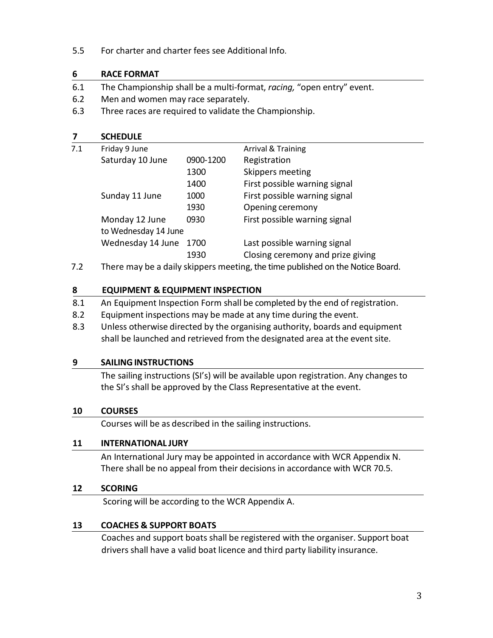5.5 For charter and charter fees see Additional Info.

### **6 RACE FORMAT**

- 6.1 The Championship shall be a multi-format, *racing,* "open entry" event.
- 6.2 Men and women may race separately.
- 6.3 Three races are required to validate the Championship.

| 7   | <b>SCHEDULE</b>                                                                                    |           |                                   |  |
|-----|----------------------------------------------------------------------------------------------------|-----------|-----------------------------------|--|
| 7.1 | Friday 9 June                                                                                      |           | <b>Arrival &amp; Training</b>     |  |
|     | Saturday 10 June                                                                                   | 0900-1200 | Registration                      |  |
|     |                                                                                                    | 1300      | Skippers meeting                  |  |
|     |                                                                                                    | 1400      | First possible warning signal     |  |
|     | Sunday 11 June                                                                                     | 1000      | First possible warning signal     |  |
|     |                                                                                                    | 1930      | Opening ceremony                  |  |
|     | Monday 12 June                                                                                     | 0930      | First possible warning signal     |  |
|     | to Wednesday 14 June                                                                               |           |                                   |  |
|     | Wednesday 14 June                                                                                  | 1700      | Last possible warning signal      |  |
|     |                                                                                                    | 1930      | Closing ceremony and prize giving |  |
| ר ד | المسمح ومناعيله وملهمه اممواطن الباري وممتله وبالروم فالمومود وسمعتما بالبران والروم والرومس وسمعا |           |                                   |  |

7.2 There may be a daily skippers meeting, the time published on the Notice Board.

### **8 EQUIPMENT & EQUIPMENT INSPECTION**

- 8.1 An Equipment Inspection Form shall be completed by the end of registration.
- 8.2 Equipment inspections may be made at any time during the event.
- 8.3 Unless otherwise directed by the organising authority, boards and equipment shall be launched and retrieved from the designated area at the event site.

#### **9 SAILINGINSTRUCTIONS**

The sailing instructions (SI's) will be available upon registration. Any changes to the SI's shall be approved by the Class Representative at the event.

# **10 COURSES**

Courses will be as described in the sailing instructions.

# **11 INTERNATIONAL JURY**

An International Jury may be appointed in accordance with WCR Appendix N. There shall be no appeal from their decisions in accordance with WCR 70.5.

#### **12 SCORING**

Scoring will be according to the WCR Appendix A.

# **13 COACHES & SUPPORT BOATS**

Coaches and support boats shall be registered with the organiser. Support boat drivers shall have a valid boat licence and third party liability insurance.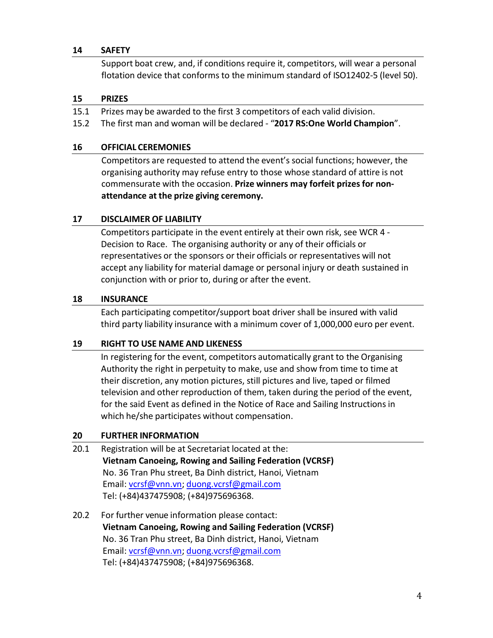#### **14 SAFETY**

Support boat crew, and, if conditions require it, competitors, will wear a personal flotation device that conforms to the minimum standard of ISO12402-5 (level 50).

#### **15 PRIZES**

- 15.1 Prizes may be awarded to the first 3 competitors of each valid division.
- 15.2 The first man and woman will be declared "**2017 RS:One World Champion**".

#### **16 OFFICIAL CEREMONIES**

Competitors are requested to attend the event's social functions; however, the organising authority may refuse entry to those whose standard of attire is not commensurate with the occasion. **Prize winners may forfeit prizes for nonattendance at the prize giving ceremony.**

# **17 DISCLAIMER OF LIABILITY**

Competitors participate in the event entirely at their own risk, see WCR 4 - Decision to Race. The organising authority or any of their officials or representatives or the sponsors or their officials or representatives will not accept any liability for material damage or personal injury or death sustained in conjunction with or prior to, during or after the event.

### **18 INSURANCE**

Each participating competitor/support boat driver shall be insured with valid third party liability insurance with a minimum cover of 1,000,000 euro per event.

#### **19 RIGHT TO USE NAME AND LIKENESS**

In registering for the event, competitors automatically grant to the Organising Authority the right in perpetuity to make, use and show from time to time at their discretion, any motion pictures, still pictures and live, taped or filmed television and other reproduction of them, taken during the period of the event, for the said Event as defined in the Notice of Race and Sailing Instructionsin which he/she participates without compensation.

# **20 FURTHER INFORMATION**

- 20.1 Registration will be at Secretariat located at the: **Vietnam Canoeing, Rowing and Sailing Federation (VCRSF)** No. 36 Tran Phu street, Ba Dinh district, Hanoi, Vietnam Email: [vcrsf@vnn.vn;](mailto:vcrsf@vnn.vn) [duong.vcrsf@gmail.com](mailto:duong.vcrsf@gmail.com) Tel: (+84)437475908; (+84)975696368.
- 20.2 For further venue information please contact: **Vietnam Canoeing, Rowing and Sailing Federation (VCRSF)** No. 36 Tran Phu street, Ba Dinh district, Hanoi, Vietnam Email: [vcrsf@vnn.vn;](mailto:vcrsf@vnn.vn) [duong.vcrsf@gmail.com](mailto:duong.vcrsf@gmail.com) Tel: (+84)437475908; (+84)975696368.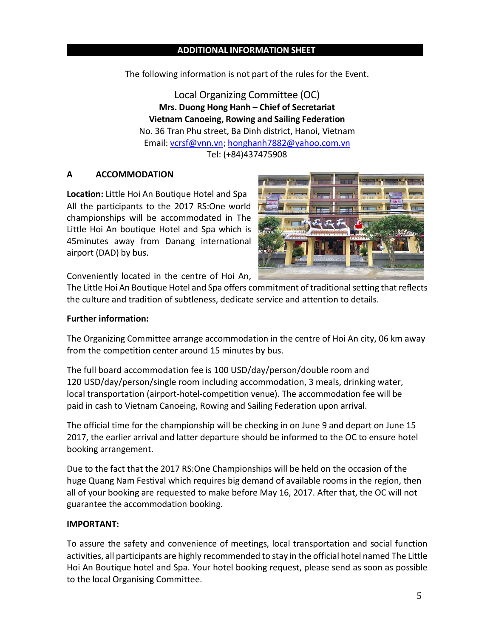### **ADDITIONAL INFORMATION SHEET**

The following information is not part of the rules for the Event.

Local Organizing Committee (OC) **Mrs. Duong Hong Hanh – Chief of Secretariat Vietnam Canoeing, Rowing and Sailing Federation** No. 36 Tran Phu street, Ba Dinh district, Hanoi, Vietnam Email: [vcrsf@vnn.vn;](mailto:vcrsf@vnn.vn) [honghanh7882@yahoo.com.vn](mailto:honghanh7882@yahoo.com.vn) Tel: (+84)437475908

#### **A ACCOMMODATION**

**Location:** Little Hoi An Boutique Hotel and Spa All the participants to the 2017 RS:One world championships will be accommodated in The Little Hoi An boutique Hotel and Spa which is 45minutes away from Danang international airport (DAD) by bus.



Conveniently located in the centre of Hoi An,

The Little Hoi An Boutique Hotel and Spa offers commitment of traditional setting that reflects the culture and tradition of subtleness, dedicate service and attention to details.

#### **Further information:**

The Organizing Committee arrange accommodation in the centre of Hoi An city, 06 km away from the competition center around 15 minutes by bus.

The full board accommodation fee is 100 USD/day/person/double room and 120 USD/day/person/single room including accommodation, 3 meals, drinking water, local transportation (airport-hotel-competition venue). The accommodation fee will be paid in cash to Vietnam Canoeing, Rowing and Sailing Federation upon arrival.

The official time for the championship will be checking in on June 9 and depart on June 15 2017, the earlier arrival and latter departure should be informed to the OC to ensure hotel booking arrangement.

Due to the fact that the 2017 RS:One Championships will be held on the occasion of the huge Quang Nam Festival which requires big demand of available rooms in the region, then all of your booking are requested to make before May 16, 2017. After that, the OC will not guarantee the accommodation booking.

#### **IMPORTANT:**

To assure the safety and convenience of meetings, local transportation and social function activities, all participants are highly recommended to stay in the official hotel named The Little Hoi An Boutique hotel and Spa. Your hotel booking request, please send as soon as possible to the local Organising Committee.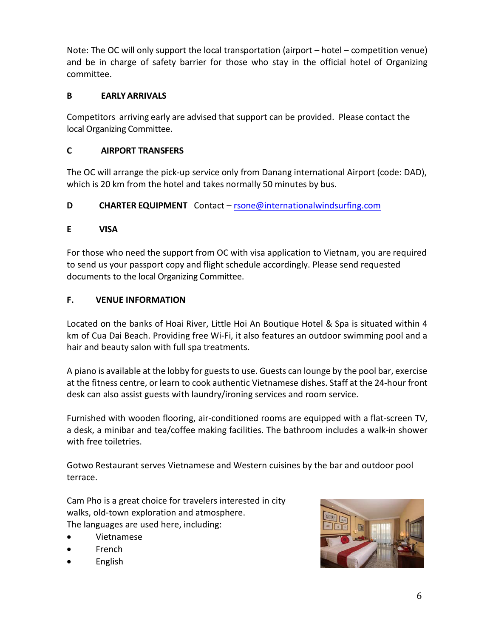Note: The OC will only support the local transportation (airport – hotel – competition venue) and be in charge of safety barrier for those who stay in the official hotel of Organizing committee.

# **B EARLYARRIVALS**

Competitors arriving early are advised that support can be provided. Please contact the local Organizing Committee.

# **C AIRPORT TRANSFERS**

The OC will arrange the pick-up service only from Danang international Airport (code: DAD), which is 20 km from the hotel and takes normally 50 minutes by bus.

# **D CHARTER EQUIPMENT** Contact – [rsone@internationalwindsurfing.com](mailto:rsone@internationalwindsurfing.com)

# **E VISA**

For those who need the support from OC with visa application to Vietnam, you are required to send us your passport copy and flight schedule accordingly. Please send requested documents to the local Organizing Committee.

# **F. VENUE INFORMATION**

Located on the banks of Hoai River, Little Hoi An Boutique Hotel & Spa is situated within 4 km of Cua Dai Beach. Providing free Wi-Fi, it also features an outdoor swimming pool and a hair and beauty salon with full spa treatments.

A piano is available at the lobby for guests to use. Guests can lounge by the pool bar, exercise at the fitness centre, or learn to cook authentic Vietnamese dishes. Staff at the 24-hour front desk can also assist guests with laundry/ironing services and room service.

Furnished with wooden flooring, air-conditioned rooms are equipped with a flat-screen TV, a desk, a minibar and tea/coffee making facilities. The bathroom includes a walk-in shower with free toiletries.

Gotwo Restaurant serves Vietnamese and Western cuisines by the bar and outdoor pool terrace.

Cam Pho is a great choice for travelers interested in city walks, old-town exploration and atmosphere. The languages are used here, including:

- Vietnamese
- French
- English

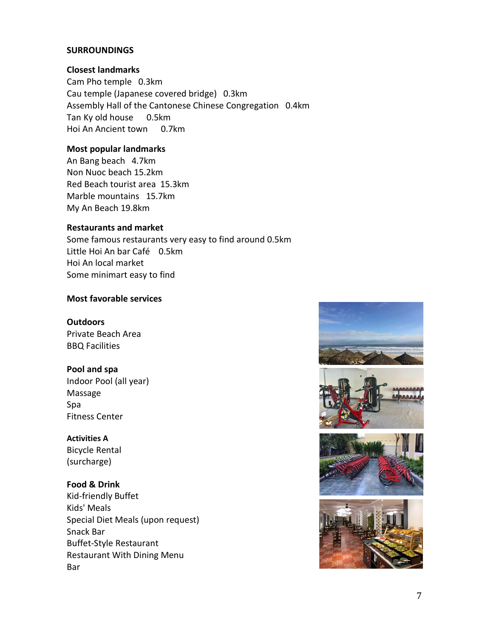#### **SURROUNDINGS**

#### **Closest landmarks**

Cam Pho temple 0.3km Cau temple (Japanese covered bridge) 0.3km Assembly Hall of the Cantonese Chinese Congregation 0.4km Tan Ky old house 0.5km Hoi An Ancient town 0.7km

#### **Most popular landmarks**

An Bang beach 4.7km Non Nuoc beach 15.2km Red Beach tourist area 15.3km Marble mountains 15.7km My An Beach 19.8km

#### **Restaurants and market**

Some famous restaurants very easy to find around 0.5km Little Hoi An bar Café 0.5km Hoi An local market Some minimart easy to find

### **Most favorable services**

#### **Outdoors**

Private Beach Area BBQ Facilities

#### **Pool and spa**

Indoor Pool (all year) Massage Spa Fitness Center

#### **Activities A**

Bicycle Rental (surcharge)

#### **Food & Drink**

Kid-friendly Buffet Kids' Meals Special Diet Meals (upon request) Snack Bar Buffet-Style Restaurant Restaurant With Dining Menu Bar